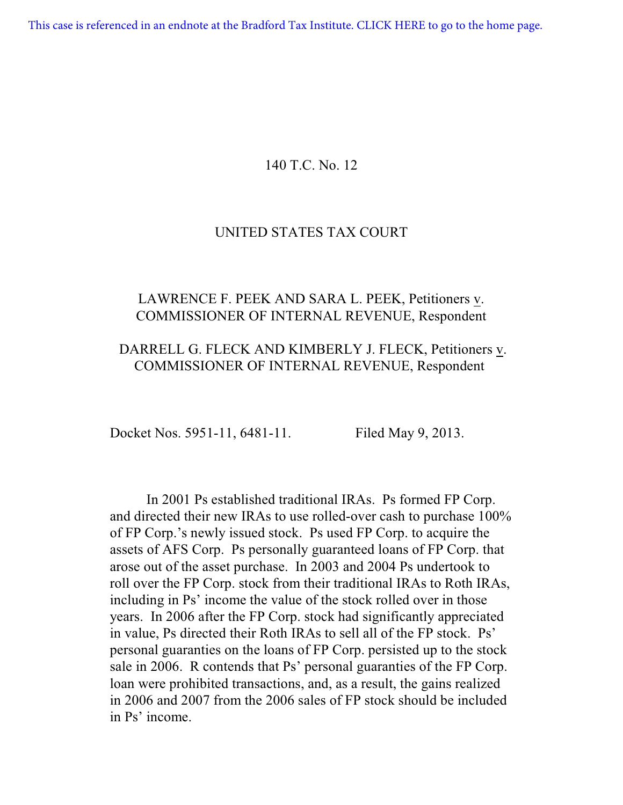[This case is referenced in an endnote at the Bradford Tax Institute. CLICK HERE to go to the home page.](http://bradfordtaxinstitute.com/index1.aspx)

## 140 T.C. No. 12

### UNITED STATES TAX COURT

# LAWRENCE F. PEEK AND SARA L. PEEK, Petitioners v. COMMISSIONER OF INTERNAL REVENUE, Respondent

# DARRELL G. FLECK AND KIMBERLY J. FLECK, Petitioners v. COMMISSIONER OF INTERNAL REVENUE, Respondent

Docket Nos. 5951-11, 6481-11. Filed May 9, 2013.

In 2001 Ps established traditional IRAs. Ps formed FP Corp. and directed their new IRAs to use rolled-over cash to purchase 100% of FP Corp.'s newly issued stock. Ps used FP Corp. to acquire the assets of AFS Corp. Ps personally guaranteed loans of FP Corp. that arose out of the asset purchase. In 2003 and 2004 Ps undertook to roll over the FP Corp. stock from their traditional IRAs to Roth IRAs, including in Ps' income the value of the stock rolled over in those years. In 2006 after the FP Corp. stock had significantly appreciated in value, Ps directed their Roth IRAs to sell all of the FP stock. Ps' personal guaranties on the loans of FP Corp. persisted up to the stock sale in 2006. R contends that Ps' personal guaranties of the FP Corp. loan were prohibited transactions, and, as a result, the gains realized in 2006 and 2007 from the 2006 sales of FP stock should be included in Ps' income.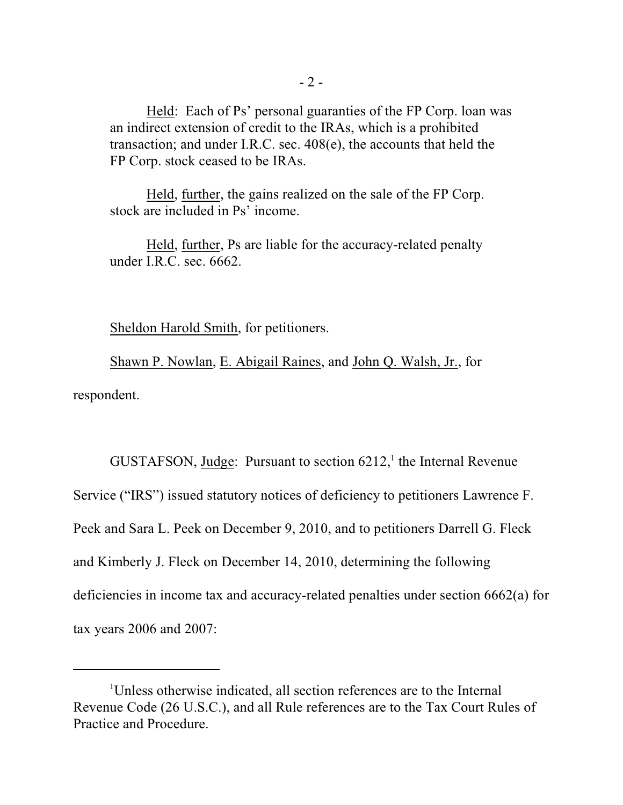Held: Each of Ps' personal guaranties of the FP Corp. loan was an indirect extension of credit to the IRAs, which is a prohibited transaction; and under I.R.C. sec. 408(e), the accounts that held the FP Corp. stock ceased to be IRAs.

Held, further, the gains realized on the sale of the FP Corp. stock are included in Ps' income.

Held, further, Ps are liable for the accuracy-related penalty under I.R.C. sec. 6662.

Sheldon Harold Smith, for petitioners.

Shawn P. Nowlan, E. Abigail Raines, and John Q. Walsh, Jr., for respondent.

GUSTAFSON, Judge: Pursuant to section  $6212$ , the Internal Revenue Service ("IRS") issued statutory notices of deficiency to petitioners Lawrence F. Peek and Sara L. Peek on December 9, 2010, and to petitioners Darrell G. Fleck and Kimberly J. Fleck on December 14, 2010, determining the following deficiencies in income tax and accuracy-related penalties under section 6662(a) for tax years 2006 and 2007:

Unless otherwise indicated, all section references are to the Internal <sup>1</sup> Revenue Code (26 U.S.C.), and all Rule references are to the Tax Court Rules of Practice and Procedure.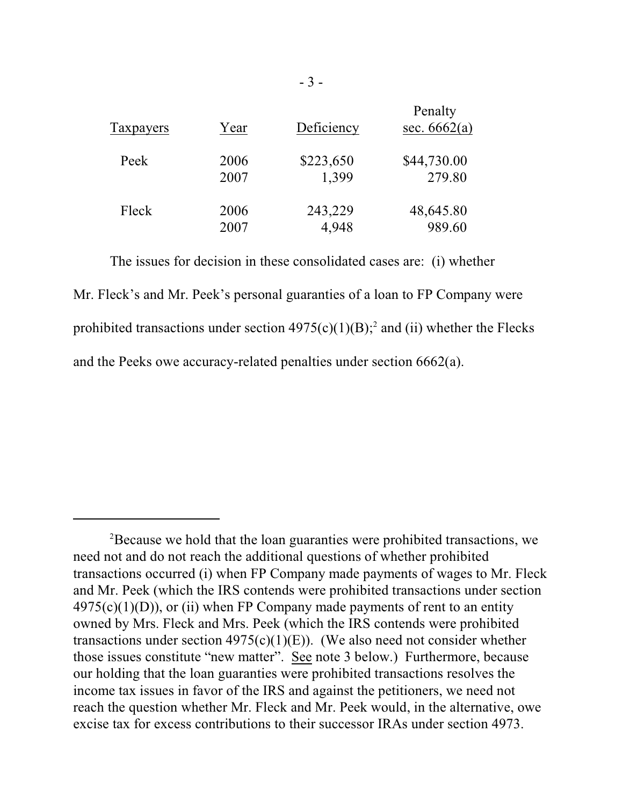| Taxpayers | Year | Deficiency | Penalty<br>sec. $6662(a)$ |
|-----------|------|------------|---------------------------|
| Peek      | 2006 | \$223,650  | \$44,730.00               |
|           | 2007 | 1,399      | 279.80                    |
| Fleck     | 2006 | 243,229    | 48,645.80                 |
|           | 2007 | 4,948      | 989.60                    |

The issues for decision in these consolidated cases are: (i) whether

Mr. Fleck's and Mr. Peek's personal guaranties of a loan to FP Company were prohibited transactions under section  $4975(c)(1)(B);$ <sup>2</sup> and (ii) whether the Flecks and the Peeks owe accuracy-related penalties under section 6662(a).

<sup>&</sup>lt;sup>2</sup>Because we hold that the loan guaranties were prohibited transactions, we need not and do not reach the additional questions of whether prohibited transactions occurred (i) when FP Company made payments of wages to Mr. Fleck and Mr. Peek (which the IRS contends were prohibited transactions under section  $4975(c)(1)(D)$ , or (ii) when FP Company made payments of rent to an entity owned by Mrs. Fleck and Mrs. Peek (which the IRS contends were prohibited transactions under section  $4975(c)(1)(E)$ ). (We also need not consider whether those issues constitute "new matter". See note 3 below.) Furthermore, because our holding that the loan guaranties were prohibited transactions resolves the income tax issues in favor of the IRS and against the petitioners, we need not reach the question whether Mr. Fleck and Mr. Peek would, in the alternative, owe excise tax for excess contributions to their successor IRAs under section 4973.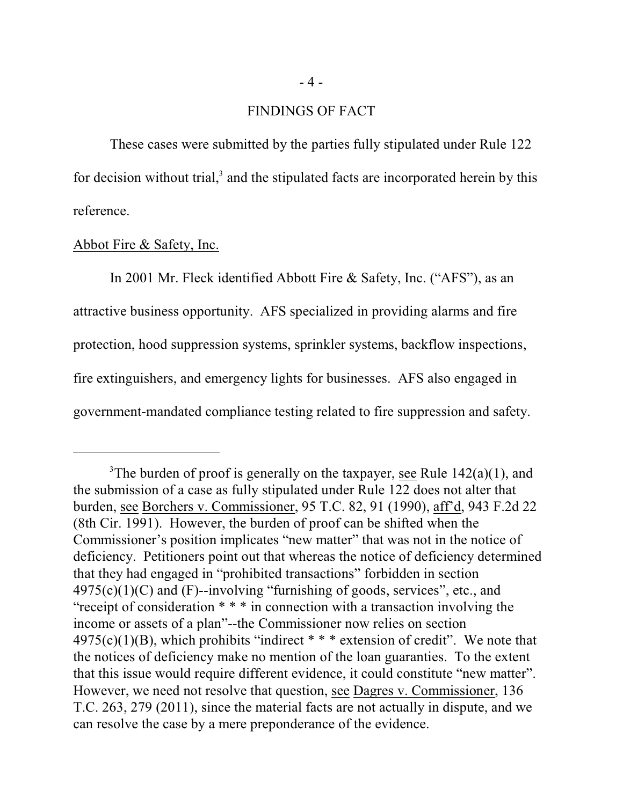### FINDINGS OF FACT

These cases were submitted by the parties fully stipulated under Rule 122 for decision without trial, $3$  and the stipulated facts are incorporated herein by this reference.

### Abbot Fire & Safety, Inc.

In 2001 Mr. Fleck identified Abbott Fire & Safety, Inc. ("AFS"), as an attractive business opportunity. AFS specialized in providing alarms and fire protection, hood suppression systems, sprinkler systems, backflow inspections, fire extinguishers, and emergency lights for businesses. AFS also engaged in government-mandated compliance testing related to fire suppression and safety.

<sup>&</sup>lt;sup>3</sup>The burden of proof is generally on the taxpayer, <u>see</u> Rule  $142(a)(1)$ , and the submission of a case as fully stipulated under Rule 122 does not alter that burden, see Borchers v. Commissioner, 95 T.C. 82, 91 (1990), aff'd, 943 F.2d 22 (8th Cir. 1991). However, the burden of proof can be shifted when the Commissioner's position implicates "new matter" that was not in the notice of deficiency. Petitioners point out that whereas the notice of deficiency determined that they had engaged in "prohibited transactions" forbidden in section  $4975(c)(1)(C)$  and (F)--involving "furnishing of goods, services", etc., and "receipt of consideration \* \* \* in connection with a transaction involving the income or assets of a plan"--the Commissioner now relies on section  $4975(c)(1)(B)$ , which prohibits "indirect \* \* \* extension of credit". We note that the notices of deficiency make no mention of the loan guaranties. To the extent that this issue would require different evidence, it could constitute "new matter". However, we need not resolve that question, see Dagres v. Commissioner, 136 T.C. 263, 279 (2011), since the material facts are not actually in dispute, and we can resolve the case by a mere preponderance of the evidence.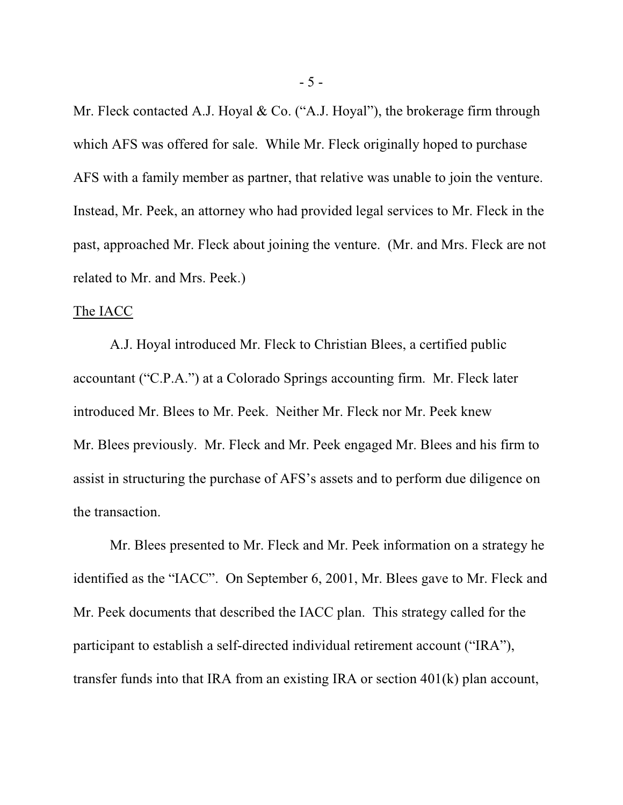Mr. Fleck contacted A.J. Hoyal & Co. ("A.J. Hoyal"), the brokerage firm through which AFS was offered for sale. While Mr. Fleck originally hoped to purchase AFS with a family member as partner, that relative was unable to join the venture. Instead, Mr. Peek, an attorney who had provided legal services to Mr. Fleck in the past, approached Mr. Fleck about joining the venture. (Mr. and Mrs. Fleck are not related to Mr. and Mrs. Peek.)

#### The IACC

A.J. Hoyal introduced Mr. Fleck to Christian Blees, a certified public accountant ("C.P.A.") at a Colorado Springs accounting firm. Mr. Fleck later introduced Mr. Blees to Mr. Peek. Neither Mr. Fleck nor Mr. Peek knew Mr. Blees previously. Mr. Fleck and Mr. Peek engaged Mr. Blees and his firm to assist in structuring the purchase of AFS's assets and to perform due diligence on the transaction.

Mr. Blees presented to Mr. Fleck and Mr. Peek information on a strategy he identified as the "IACC". On September 6, 2001, Mr. Blees gave to Mr. Fleck and Mr. Peek documents that described the IACC plan. This strategy called for the participant to establish a self-directed individual retirement account ("IRA"), transfer funds into that IRA from an existing IRA or section 401(k) plan account,

- 5 -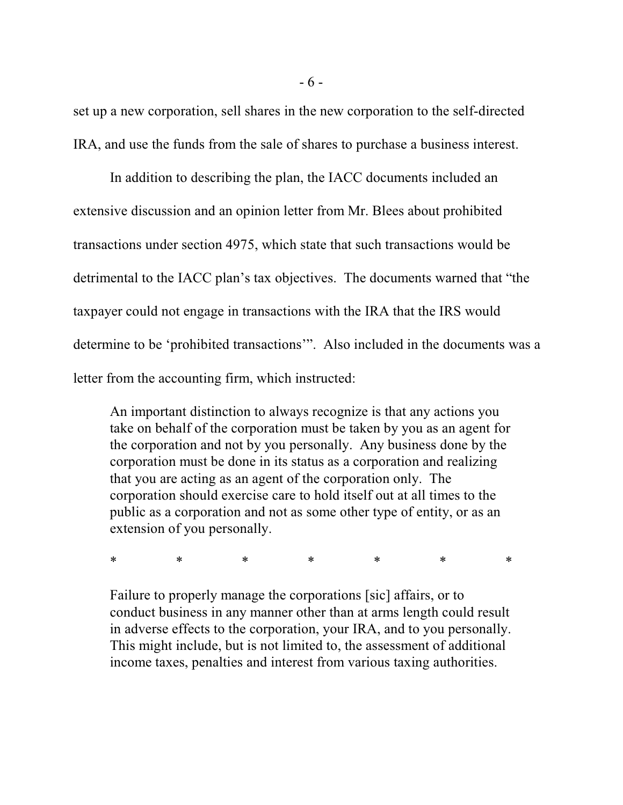set up a new corporation, sell shares in the new corporation to the self-directed IRA, and use the funds from the sale of shares to purchase a business interest.

In addition to describing the plan, the IACC documents included an extensive discussion and an opinion letter from Mr. Blees about prohibited transactions under section 4975, which state that such transactions would be detrimental to the IACC plan's tax objectives. The documents warned that "the taxpayer could not engage in transactions with the IRA that the IRS would determine to be 'prohibited transactions'". Also included in the documents was a letter from the accounting firm, which instructed:

An important distinction to always recognize is that any actions you take on behalf of the corporation must be taken by you as an agent for the corporation and not by you personally. Any business done by the corporation must be done in its status as a corporation and realizing that you are acting as an agent of the corporation only. The corporation should exercise care to hold itself out at all times to the public as a corporation and not as some other type of entity, or as an extension of you personally.

\* \* \* \* \* \* \* \* \*

Failure to properly manage the corporations [sic] affairs, or to conduct business in any manner other than at arms length could result in adverse effects to the corporation, your IRA, and to you personally. This might include, but is not limited to, the assessment of additional income taxes, penalties and interest from various taxing authorities.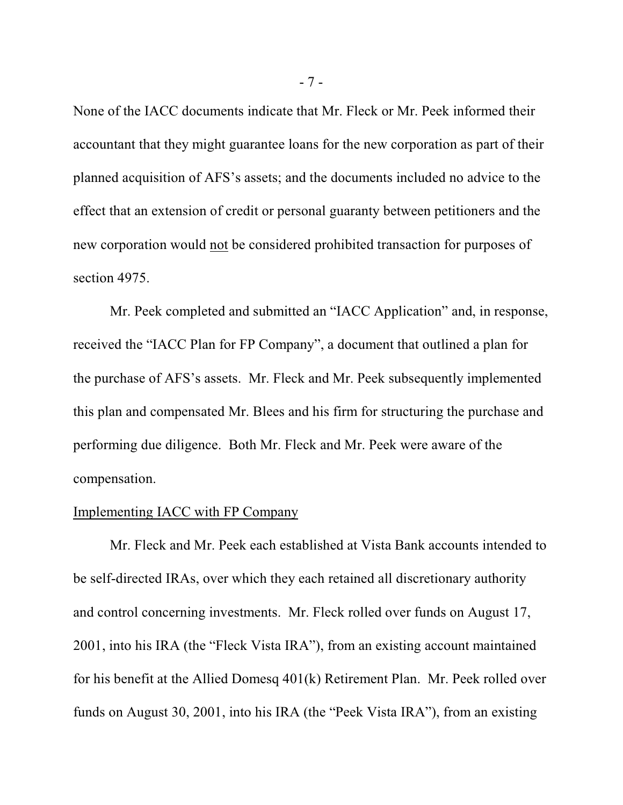None of the IACC documents indicate that Mr. Fleck or Mr. Peek informed their accountant that they might guarantee loans for the new corporation as part of their planned acquisition of AFS's assets; and the documents included no advice to the effect that an extension of credit or personal guaranty between petitioners and the new corporation would not be considered prohibited transaction for purposes of section 4975.

Mr. Peek completed and submitted an "IACC Application" and, in response, received the "IACC Plan for FP Company", a document that outlined a plan for the purchase of AFS's assets. Mr. Fleck and Mr. Peek subsequently implemented this plan and compensated Mr. Blees and his firm for structuring the purchase and performing due diligence. Both Mr. Fleck and Mr. Peek were aware of the compensation.

#### Implementing IACC with FP Company

Mr. Fleck and Mr. Peek each established at Vista Bank accounts intended to be self-directed IRAs, over which they each retained all discretionary authority and control concerning investments. Mr. Fleck rolled over funds on August 17, 2001, into his IRA (the "Fleck Vista IRA"), from an existing account maintained for his benefit at the Allied Domesq 401(k) Retirement Plan. Mr. Peek rolled over funds on August 30, 2001, into his IRA (the "Peek Vista IRA"), from an existing

- 7 -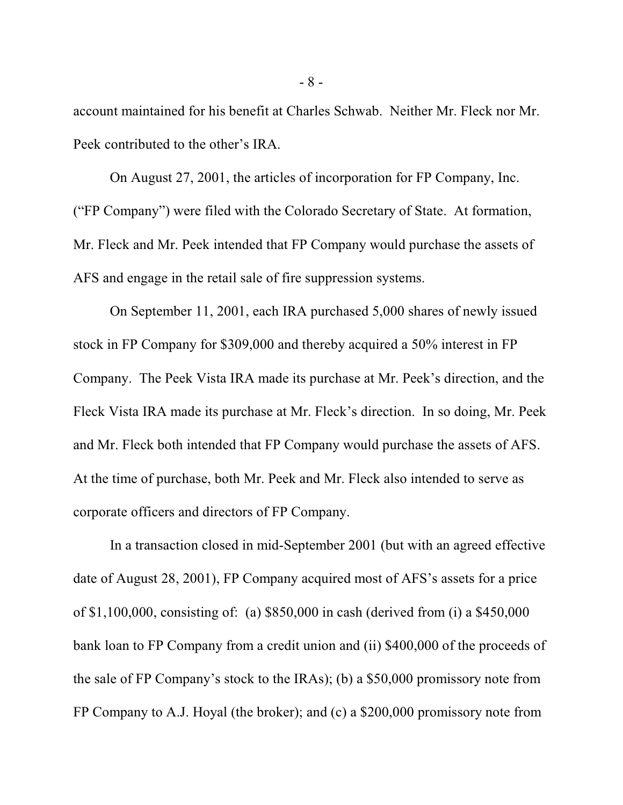account maintained for his benefit at Charles Schwab. Neither Mr. Fleck nor Mr. Peek contributed to the other's IRA.

On August 27, 2001, the articles of incorporation for FP Company, Inc. ("FP Company") were filed with the Colorado Secretary of State. At formation, Mr. Fleck and Mr. Peek intended that FP Company would purchase the assets of AFS and engage in the retail sale of fire suppression systems.

On September 11, 2001, each IRA purchased 5,000 shares of newly issued stock in FP Company for \$309,000 and thereby acquired a 50% interest in FP Company. The Peek Vista IRA made its purchase at Mr. Peek's direction, and the Fleck Vista IRA made its purchase at Mr. Fleck's direction. In so doing, Mr. Peek and Mr. Fleck both intended that FP Company would purchase the assets of AFS. At the time of purchase, both Mr. Peek and Mr. Fleck also intended to serve as corporate officers and directors of FP Company.

In a transaction closed in mid-September 2001 (but with an agreed effective date of August 28, 2001), FP Company acquired most of AFS's assets for a price of \$1,100,000, consisting of: (a) \$850,000 in cash (derived from (i) a \$450,000 bank loan to FP Company from a credit union and (ii) \$400,000 of the proceeds of the sale of FP Company's stock to the IRAs); (b) a \$50,000 promissory note from FP Company to A.J. Hoyal (the broker); and (c) a \$200,000 promissory note from

- 8 -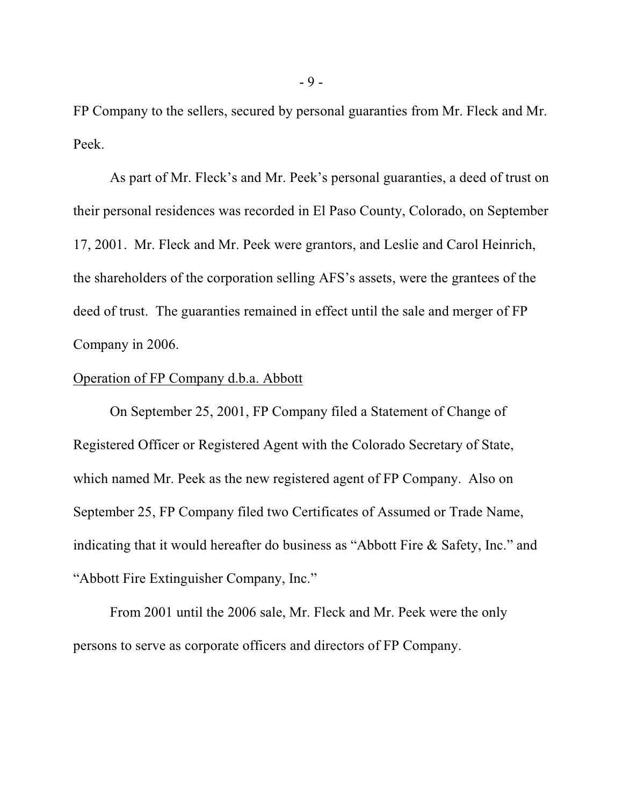FP Company to the sellers, secured by personal guaranties from Mr. Fleck and Mr. Peek.

As part of Mr. Fleck's and Mr. Peek's personal guaranties, a deed of trust on their personal residences was recorded in El Paso County, Colorado, on September 17, 2001. Mr. Fleck and Mr. Peek were grantors, and Leslie and Carol Heinrich, the shareholders of the corporation selling AFS's assets, were the grantees of the deed of trust. The guaranties remained in effect until the sale and merger of FP Company in 2006.

#### Operation of FP Company d.b.a. Abbott

On September 25, 2001, FP Company filed a Statement of Change of Registered Officer or Registered Agent with the Colorado Secretary of State, which named Mr. Peek as the new registered agent of FP Company. Also on September 25, FP Company filed two Certificates of Assumed or Trade Name, indicating that it would hereafter do business as "Abbott Fire & Safety, Inc." and "Abbott Fire Extinguisher Company, Inc."

From 2001 until the 2006 sale, Mr. Fleck and Mr. Peek were the only persons to serve as corporate officers and directors of FP Company.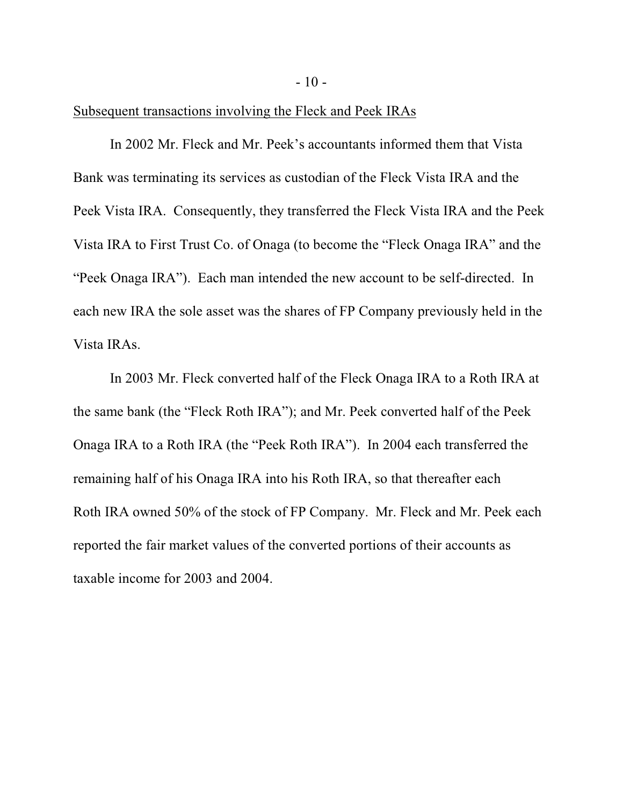$-10-$ 

### Subsequent transactions involving the Fleck and Peek IRAs

In 2002 Mr. Fleck and Mr. Peek's accountants informed them that Vista Bank was terminating its services as custodian of the Fleck Vista IRA and the Peek Vista IRA. Consequently, they transferred the Fleck Vista IRA and the Peek Vista IRA to First Trust Co. of Onaga (to become the "Fleck Onaga IRA" and the "Peek Onaga IRA"). Each man intended the new account to be self-directed. In each new IRA the sole asset was the shares of FP Company previously held in the Vista IRAs.

In 2003 Mr. Fleck converted half of the Fleck Onaga IRA to a Roth IRA at the same bank (the "Fleck Roth IRA"); and Mr. Peek converted half of the Peek Onaga IRA to a Roth IRA (the "Peek Roth IRA"). In 2004 each transferred the remaining half of his Onaga IRA into his Roth IRA, so that thereafter each Roth IRA owned 50% of the stock of FP Company. Mr. Fleck and Mr. Peek each reported the fair market values of the converted portions of their accounts as taxable income for 2003 and 2004.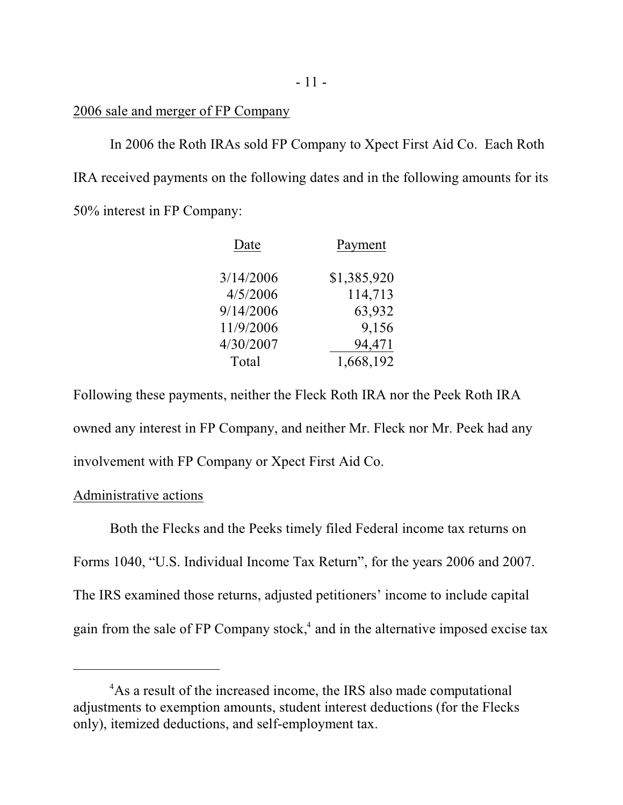### 2006 sale and merger of FP Company

In 2006 the Roth IRAs sold FP Company to Xpect First Aid Co. Each Roth IRA received payments on the following dates and in the following amounts for its 50% interest in FP Company:

| Date      | Payment     |
|-----------|-------------|
| 3/14/2006 | \$1,385,920 |
| 4/5/2006  | 114,713     |
| 9/14/2006 | 63,932      |
| 11/9/2006 | 9,156       |
| 4/30/2007 | 94,471      |
| Total     | 1,668,192   |

Following these payments, neither the Fleck Roth IRA nor the Peek Roth IRA owned any interest in FP Company, and neither Mr. Fleck nor Mr. Peek had any involvement with FP Company or Xpect First Aid Co.

### Administrative actions

Both the Flecks and the Peeks timely filed Federal income tax returns on Forms 1040, "U.S. Individual Income Tax Return", for the years 2006 and 2007. The IRS examined those returns, adjusted petitioners' income to include capital gain from the sale of FP Company stock, $4$  and in the alternative imposed excise tax

<sup>&</sup>lt;sup>4</sup>As a result of the increased income, the IRS also made computational adjustments to exemption amounts, student interest deductions (for the Flecks only), itemized deductions, and self-employment tax.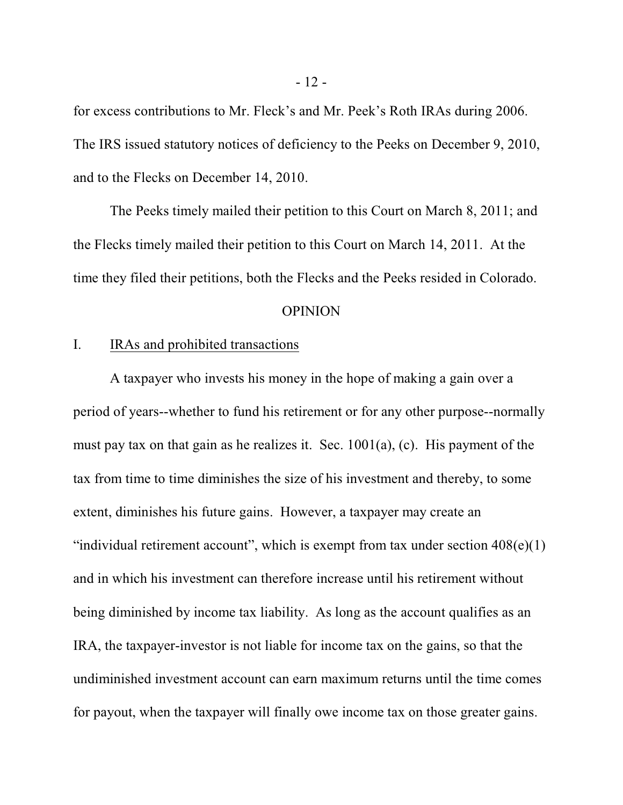for excess contributions to Mr. Fleck's and Mr. Peek's Roth IRAs during 2006. The IRS issued statutory notices of deficiency to the Peeks on December 9, 2010, and to the Flecks on December 14, 2010.

The Peeks timely mailed their petition to this Court on March 8, 2011; and the Flecks timely mailed their petition to this Court on March 14, 2011. At the time they filed their petitions, both the Flecks and the Peeks resided in Colorado.

#### **OPINION**

### I. IRAs and prohibited transactions

A taxpayer who invests his money in the hope of making a gain over a period of years--whether to fund his retirement or for any other purpose--normally must pay tax on that gain as he realizes it. Sec.  $1001(a)$ , (c). His payment of the tax from time to time diminishes the size of his investment and thereby, to some extent, diminishes his future gains. However, a taxpayer may create an "individual retirement account", which is exempt from tax under section  $408(e)(1)$ and in which his investment can therefore increase until his retirement without being diminished by income tax liability. As long as the account qualifies as an IRA, the taxpayer-investor is not liable for income tax on the gains, so that the undiminished investment account can earn maximum returns until the time comes for payout, when the taxpayer will finally owe income tax on those greater gains.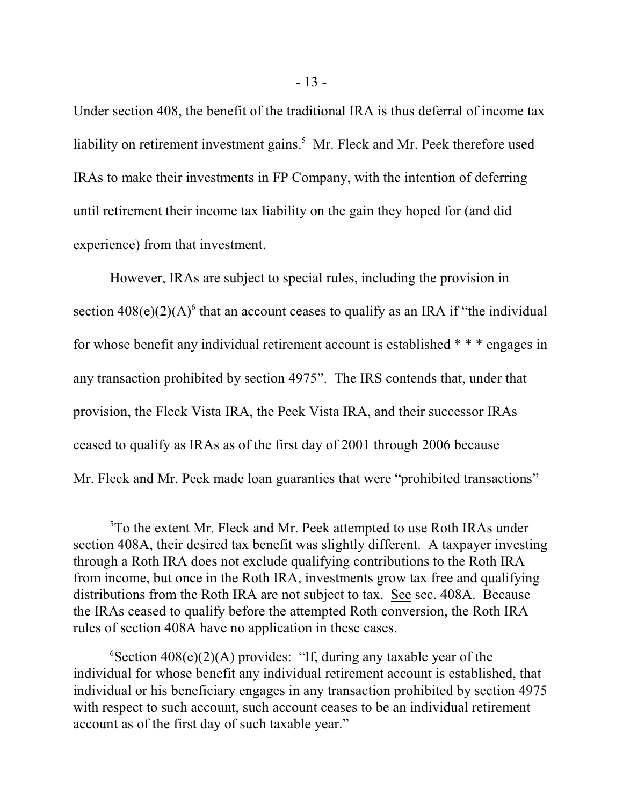Under section 408, the benefit of the traditional IRA is thus deferral of income tax liability on retirement investment gains.<sup>5</sup> Mr. Fleck and Mr. Peek therefore used IRAs to make their investments in FP Company, with the intention of deferring until retirement their income tax liability on the gain they hoped for (and did experience) from that investment.

However, IRAs are subject to special rules, including the provision in section  $408(e)(2)(A)^6$  that an account ceases to qualify as an IRA if "the individual for whose benefit any individual retirement account is established \* \* \* engages in any transaction prohibited by section 4975". The IRS contends that, under that provision, the Fleck Vista IRA, the Peek Vista IRA, and their successor IRAs ceased to qualify as IRAs as of the first day of 2001 through 2006 because Mr. Fleck and Mr. Peek made loan guaranties that were "prohibited transactions"

<sup>&</sup>lt;sup>5</sup>To the extent Mr. Fleck and Mr. Peek attempted to use Roth IRAs under section 408A, their desired tax benefit was slightly different. A taxpayer investing through a Roth IRA does not exclude qualifying contributions to the Roth IRA from income, but once in the Roth IRA, investments grow tax free and qualifying distributions from the Roth IRA are not subject to tax. See sec. 408A. Because the IRAs ceased to qualify before the attempted Roth conversion, the Roth IRA rules of section 408A have no application in these cases.

 ${}^6$ Section 408(e)(2)(A) provides: "If, during any taxable year of the individual for whose benefit any individual retirement account is established, that individual or his beneficiary engages in any transaction prohibited by section 4975 with respect to such account, such account ceases to be an individual retirement account as of the first day of such taxable year."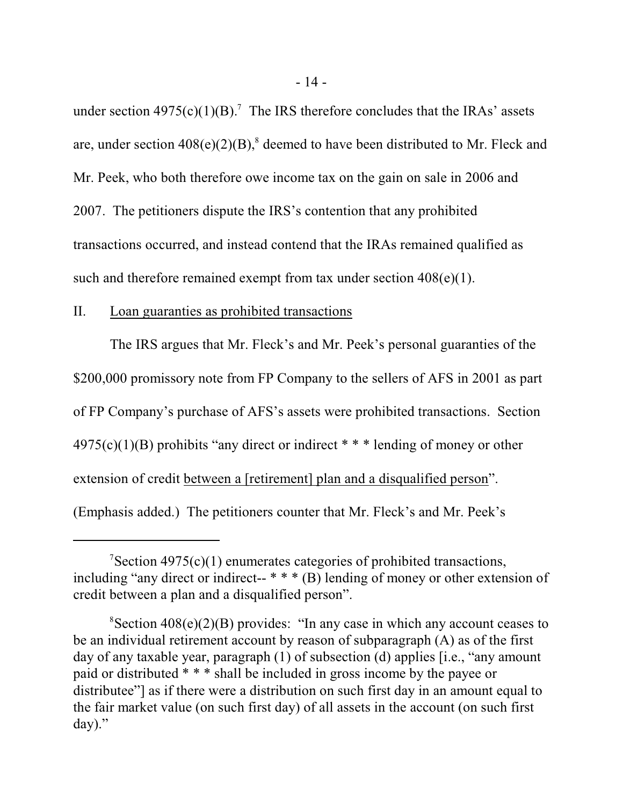under section  $4975(c)(1)(B)$ .<sup>7</sup> The IRS therefore concludes that the IRAs' assets are, under section  $408(e)(2)(B)$ ,<sup>8</sup> deemed to have been distributed to Mr. Fleck and Mr. Peek, who both therefore owe income tax on the gain on sale in 2006 and 2007. The petitioners dispute the IRS's contention that any prohibited transactions occurred, and instead contend that the IRAs remained qualified as such and therefore remained exempt from tax under section  $408(e)(1)$ .

## II. Loan guaranties as prohibited transactions

The IRS argues that Mr. Fleck's and Mr. Peek's personal guaranties of the \$200,000 promissory note from FP Company to the sellers of AFS in 2001 as part of FP Company's purchase of AFS's assets were prohibited transactions. Section  $4975(c)(1)(B)$  prohibits "any direct or indirect \* \* \* lending of money or other extension of credit between a [retirement] plan and a disqualified person". (Emphasis added.) The petitioners counter that Mr. Fleck's and Mr. Peek's

 $\sigma$ Section 4975(c)(1) enumerates categories of prohibited transactions, including "any direct or indirect-- \* \* \* (B) lending of money or other extension of credit between a plan and a disqualified person".

 ${}^8$ Section 408(e)(2)(B) provides: "In any case in which any account ceases to be an individual retirement account by reason of subparagraph (A) as of the first day of any taxable year, paragraph (1) of subsection (d) applies [i.e., "any amount paid or distributed \* \* \* shall be included in gross income by the payee or distributee"] as if there were a distribution on such first day in an amount equal to the fair market value (on such first day) of all assets in the account (on such first day)."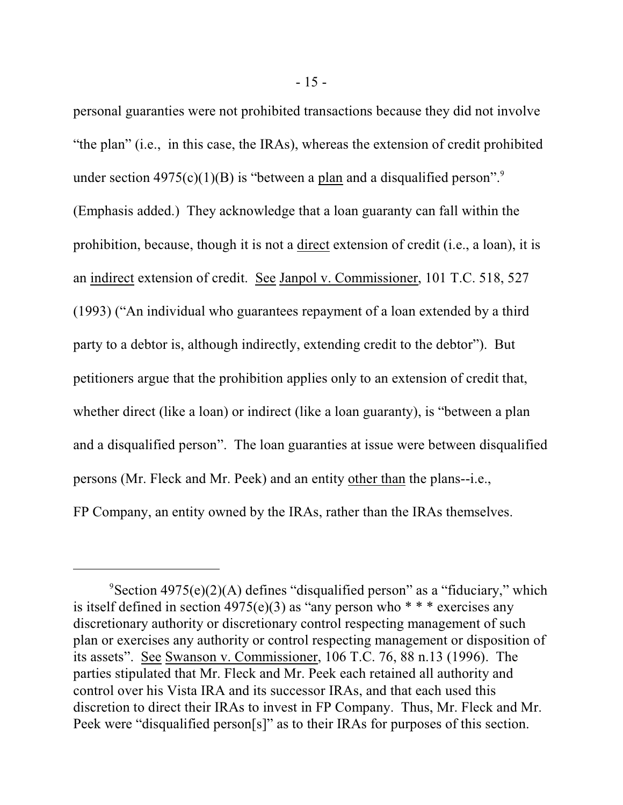personal guaranties were not prohibited transactions because they did not involve "the plan" (i.e., in this case, the IRAs), whereas the extension of credit prohibited under section  $4975(c)(1)(B)$  is "between a plan and a disqualified person".<sup>9</sup> (Emphasis added.) They acknowledge that a loan guaranty can fall within the prohibition, because, though it is not a direct extension of credit (i.e., a loan), it is an indirect extension of credit. See Janpol v. Commissioner, 101 T.C. 518, 527 (1993) ("An individual who guarantees repayment of a loan extended by a third party to a debtor is, although indirectly, extending credit to the debtor"). But petitioners argue that the prohibition applies only to an extension of credit that, whether direct (like a loan) or indirect (like a loan guaranty), is "between a plan and a disqualified person". The loan guaranties at issue were between disqualified persons (Mr. Fleck and Mr. Peek) and an entity other than the plans--i.e., FP Company, an entity owned by the IRAs, rather than the IRAs themselves.

 $\degree$ Section 4975(e)(2)(A) defines "disqualified person" as a "fiduciary," which is itself defined in section  $4975(e)(3)$  as "any person who  $***$  exercises any discretionary authority or discretionary control respecting management of such plan or exercises any authority or control respecting management or disposition of its assets". See Swanson v. Commissioner, 106 T.C. 76, 88 n.13 (1996). The parties stipulated that Mr. Fleck and Mr. Peek each retained all authority and control over his Vista IRA and its successor IRAs, and that each used this discretion to direct their IRAs to invest in FP Company. Thus, Mr. Fleck and Mr. Peek were "disqualified person[s]" as to their IRAs for purposes of this section.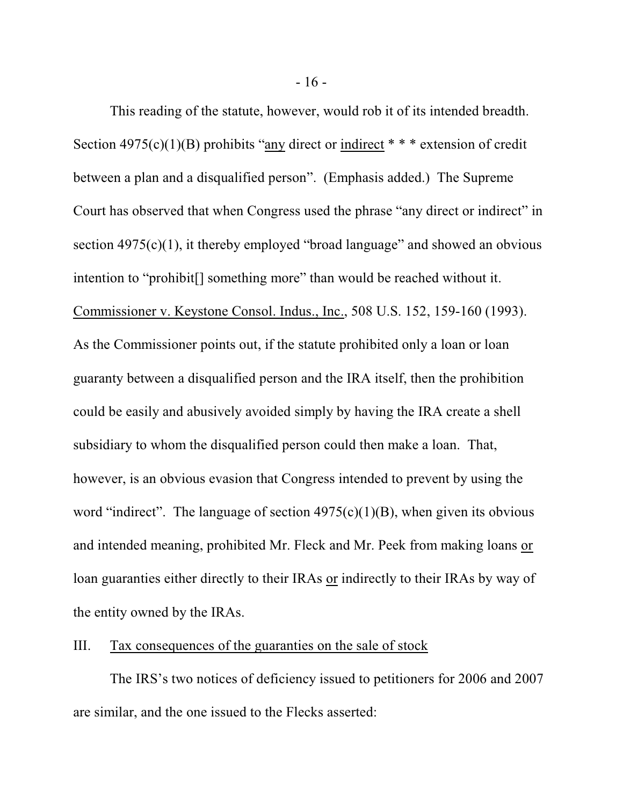This reading of the statute, however, would rob it of its intended breadth. Section  $4975(c)(1)(B)$  prohibits "any direct or indirect \* \* \* extension of credit between a plan and a disqualified person". (Emphasis added.) The Supreme Court has observed that when Congress used the phrase "any direct or indirect" in section  $4975(c)(1)$ , it thereby employed "broad language" and showed an obvious intention to "prohibit[] something more" than would be reached without it. Commissioner v. Keystone Consol. Indus., Inc., 508 U.S. 152, 159-160 (1993). As the Commissioner points out, if the statute prohibited only a loan or loan guaranty between a disqualified person and the IRA itself, then the prohibition could be easily and abusively avoided simply by having the IRA create a shell subsidiary to whom the disqualified person could then make a loan. That, however, is an obvious evasion that Congress intended to prevent by using the word "indirect". The language of section  $4975(c)(1)(B)$ , when given its obvious and intended meaning, prohibited Mr. Fleck and Mr. Peek from making loans or loan guaranties either directly to their IRAs or indirectly to their IRAs by way of the entity owned by the IRAs.

# III. Tax consequences of the guaranties on the sale of stock

The IRS's two notices of deficiency issued to petitioners for 2006 and 2007 are similar, and the one issued to the Flecks asserted: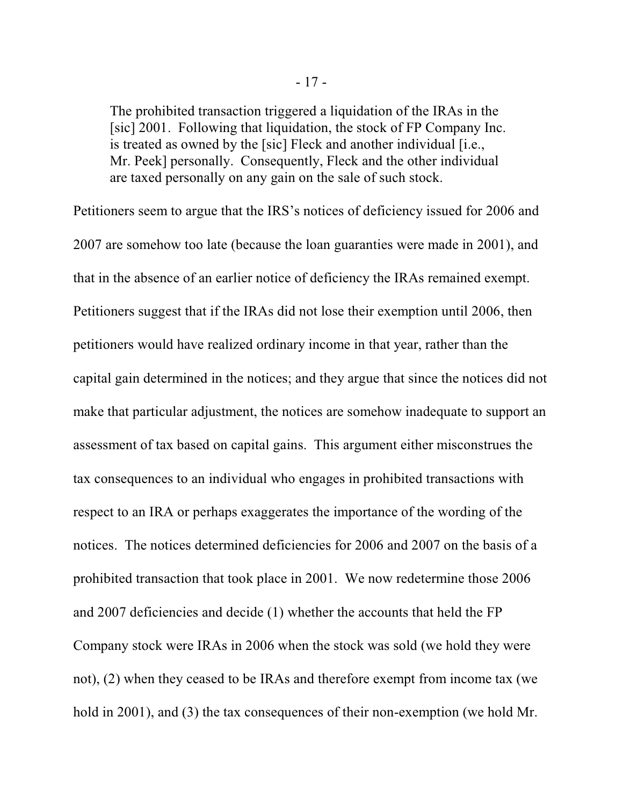The prohibited transaction triggered a liquidation of the IRAs in the [sic] 2001. Following that liquidation, the stock of FP Company Inc. is treated as owned by the [sic] Fleck and another individual [i.e., Mr. Peek] personally. Consequently, Fleck and the other individual are taxed personally on any gain on the sale of such stock.

Petitioners seem to argue that the IRS's notices of deficiency issued for 2006 and 2007 are somehow too late (because the loan guaranties were made in 2001), and that in the absence of an earlier notice of deficiency the IRAs remained exempt. Petitioners suggest that if the IRAs did not lose their exemption until 2006, then petitioners would have realized ordinary income in that year, rather than the capital gain determined in the notices; and they argue that since the notices did not make that particular adjustment, the notices are somehow inadequate to support an assessment of tax based on capital gains. This argument either misconstrues the tax consequences to an individual who engages in prohibited transactions with respect to an IRA or perhaps exaggerates the importance of the wording of the notices. The notices determined deficiencies for 2006 and 2007 on the basis of a prohibited transaction that took place in 2001. We now redetermine those 2006 and 2007 deficiencies and decide (1) whether the accounts that held the FP Company stock were IRAs in 2006 when the stock was sold (we hold they were not), (2) when they ceased to be IRAs and therefore exempt from income tax (we hold in 2001), and (3) the tax consequences of their non-exemption (we hold Mr.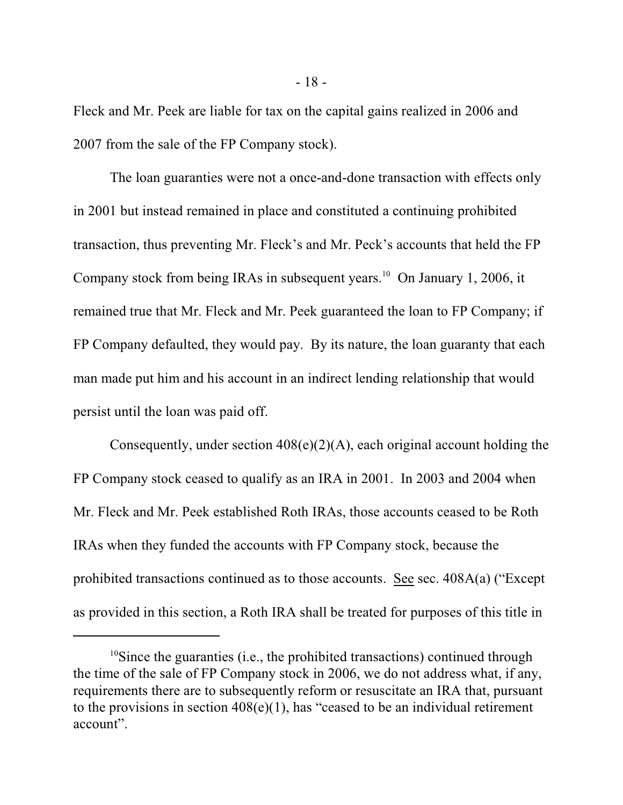Fleck and Mr. Peek are liable for tax on the capital gains realized in 2006 and 2007 from the sale of the FP Company stock).

The loan guaranties were not a once-and-done transaction with effects only in 2001 but instead remained in place and constituted a continuing prohibited transaction, thus preventing Mr. Fleck's and Mr. Peck's accounts that held the FP Company stock from being IRAs in subsequent years.<sup>10</sup> On January 1, 2006, it remained true that Mr. Fleck and Mr. Peek guaranteed the loan to FP Company; if FP Company defaulted, they would pay. By its nature, the loan guaranty that each man made put him and his account in an indirect lending relationship that would persist until the loan was paid off.

Consequently, under section  $408(e)(2)(A)$ , each original account holding the FP Company stock ceased to qualify as an IRA in 2001. In 2003 and 2004 when Mr. Fleck and Mr. Peek established Roth IRAs, those accounts ceased to be Roth IRAs when they funded the accounts with FP Company stock, because the prohibited transactions continued as to those accounts. See sec. 408A(a) ("Except as provided in this section, a Roth IRA shall be treated for purposes of this title in

 $10$ Since the guaranties (i.e., the prohibited transactions) continued through the time of the sale of FP Company stock in 2006, we do not address what, if any, requirements there are to subsequently reform or resuscitate an IRA that, pursuant to the provisions in section  $408(e)(1)$ , has "ceased to be an individual retirement account".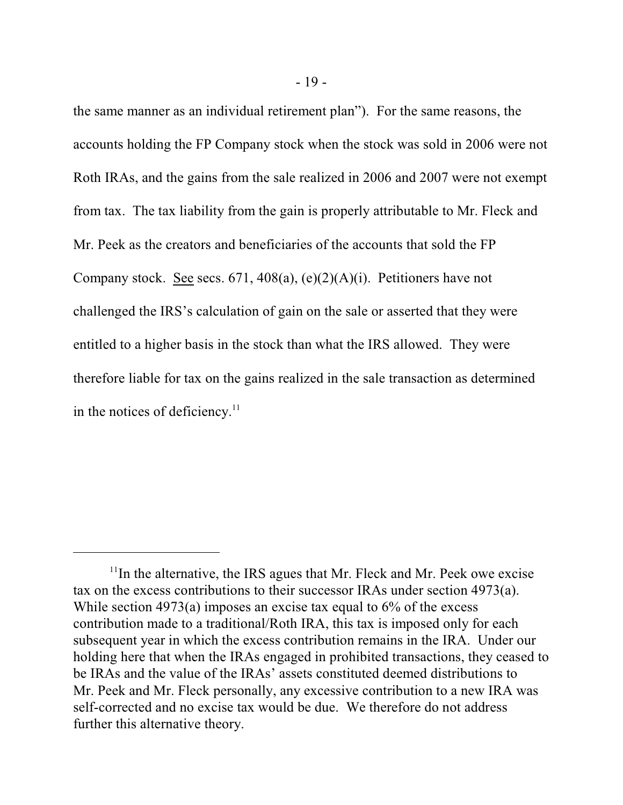the same manner as an individual retirement plan"). For the same reasons, the accounts holding the FP Company stock when the stock was sold in 2006 were not Roth IRAs, and the gains from the sale realized in 2006 and 2007 were not exempt from tax. The tax liability from the gain is properly attributable to Mr. Fleck and Mr. Peek as the creators and beneficiaries of the accounts that sold the FP Company stock. See secs. 671, 408(a), (e)(2)(A)(i). Petitioners have not challenged the IRS's calculation of gain on the sale or asserted that they were entitled to a higher basis in the stock than what the IRS allowed. They were therefore liable for tax on the gains realized in the sale transaction as determined in the notices of deficiency.<sup>11</sup>

 $11$ In the alternative, the IRS agues that Mr. Fleck and Mr. Peek owe excise tax on the excess contributions to their successor IRAs under section 4973(a). While section  $4973(a)$  imposes an excise tax equal to  $6\%$  of the excess contribution made to a traditional/Roth IRA, this tax is imposed only for each subsequent year in which the excess contribution remains in the IRA. Under our holding here that when the IRAs engaged in prohibited transactions, they ceased to be IRAs and the value of the IRAs' assets constituted deemed distributions to Mr. Peek and Mr. Fleck personally, any excessive contribution to a new IRA was self-corrected and no excise tax would be due. We therefore do not address further this alternative theory.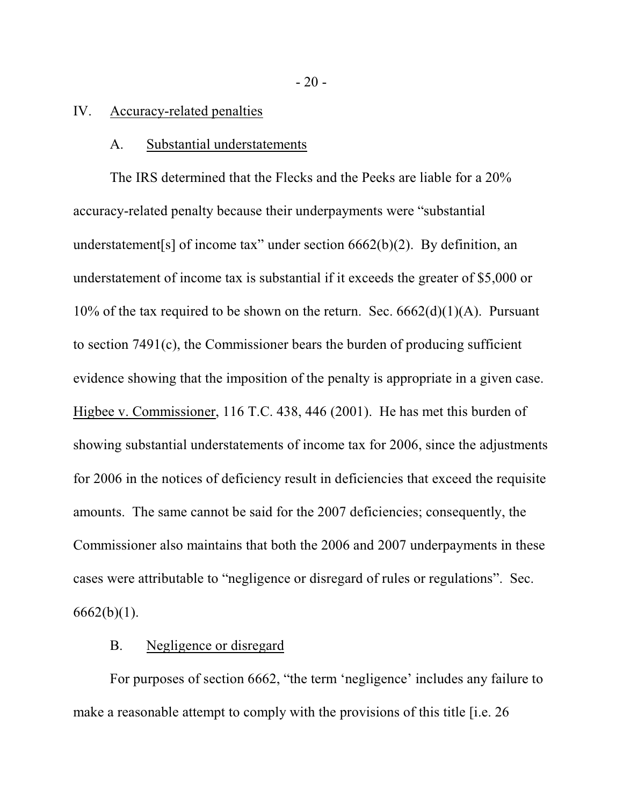### IV. Accuracy-related penalties

#### A. Substantial understatements

The IRS determined that the Flecks and the Peeks are liable for a 20% accuracy-related penalty because their underpayments were "substantial understatement[s] of income tax" under section 6662(b)(2). By definition, an understatement of income tax is substantial if it exceeds the greater of \$5,000 or 10% of the tax required to be shown on the return. Sec.  $6662(d)(1)(A)$ . Pursuant to section 7491(c), the Commissioner bears the burden of producing sufficient evidence showing that the imposition of the penalty is appropriate in a given case. Higbee v. Commissioner, 116 T.C. 438, 446 (2001). He has met this burden of showing substantial understatements of income tax for 2006, since the adjustments for 2006 in the notices of deficiency result in deficiencies that exceed the requisite amounts. The same cannot be said for the 2007 deficiencies; consequently, the Commissioner also maintains that both the 2006 and 2007 underpayments in these cases were attributable to "negligence or disregard of rules or regulations". Sec.  $6662(b)(1)$ .

# B. Negligence or disregard

For purposes of section 6662, "the term 'negligence' includes any failure to make a reasonable attempt to comply with the provisions of this title [i.e. 26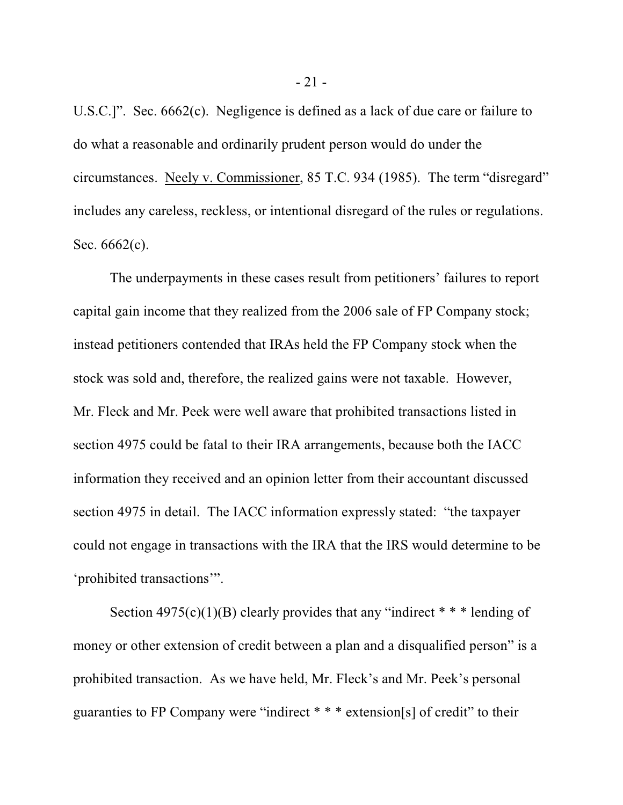U.S.C.]". Sec. 6662(c). Negligence is defined as a lack of due care or failure to do what a reasonable and ordinarily prudent person would do under the circumstances. Neely v. Commissioner, 85 T.C. 934 (1985). The term "disregard" includes any careless, reckless, or intentional disregard of the rules or regulations. Sec. 6662(c).

The underpayments in these cases result from petitioners' failures to report capital gain income that they realized from the 2006 sale of FP Company stock; instead petitioners contended that IRAs held the FP Company stock when the stock was sold and, therefore, the realized gains were not taxable. However, Mr. Fleck and Mr. Peek were well aware that prohibited transactions listed in section 4975 could be fatal to their IRA arrangements, because both the IACC information they received and an opinion letter from their accountant discussed section 4975 in detail. The IACC information expressly stated: "the taxpayer could not engage in transactions with the IRA that the IRS would determine to be 'prohibited transactions'".

Section  $4975(c)(1)(B)$  clearly provides that any "indirect  $* * *$  lending of money or other extension of credit between a plan and a disqualified person" is a prohibited transaction. As we have held, Mr. Fleck's and Mr. Peek's personal guaranties to FP Company were "indirect \* \* \* extension[s] of credit" to their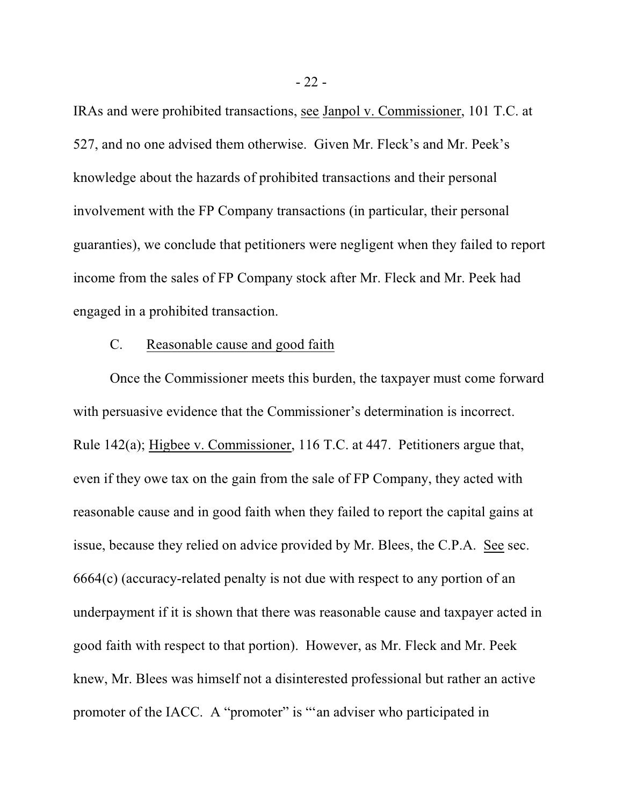IRAs and were prohibited transactions, see Janpol v. Commissioner, 101 T.C. at 527, and no one advised them otherwise. Given Mr. Fleck's and Mr. Peek's knowledge about the hazards of prohibited transactions and their personal involvement with the FP Company transactions (in particular, their personal guaranties), we conclude that petitioners were negligent when they failed to report income from the sales of FP Company stock after Mr. Fleck and Mr. Peek had engaged in a prohibited transaction.

#### C. Reasonable cause and good faith

Once the Commissioner meets this burden, the taxpayer must come forward with persuasive evidence that the Commissioner's determination is incorrect. Rule 142(a); Higbee v. Commissioner, 116 T.C. at 447. Petitioners argue that, even if they owe tax on the gain from the sale of FP Company, they acted with reasonable cause and in good faith when they failed to report the capital gains at issue, because they relied on advice provided by Mr. Blees, the C.P.A. See sec. 6664(c) (accuracy-related penalty is not due with respect to any portion of an underpayment if it is shown that there was reasonable cause and taxpayer acted in good faith with respect to that portion). However, as Mr. Fleck and Mr. Peek knew, Mr. Blees was himself not a disinterested professional but rather an active promoter of the IACC. A "promoter" is ""an adviser who participated in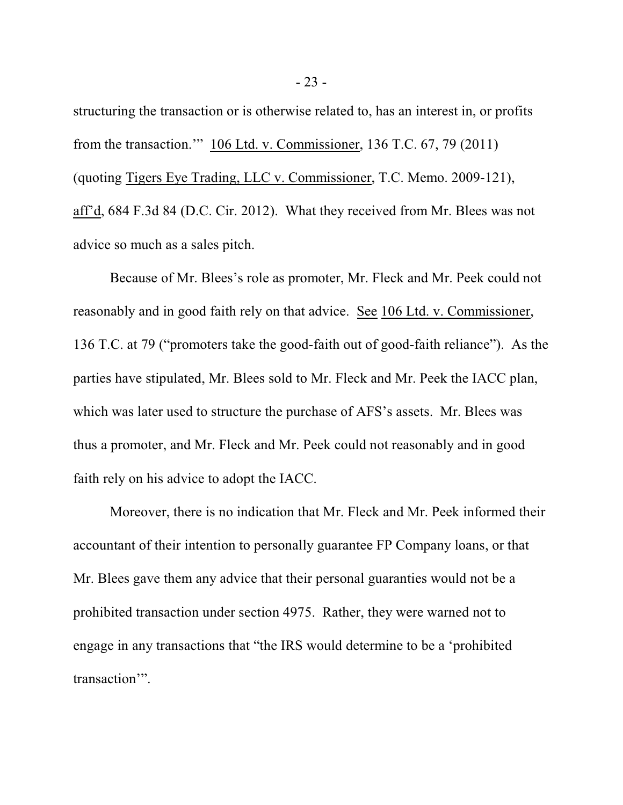structuring the transaction or is otherwise related to, has an interest in, or profits from the transaction.'" 106 Ltd. v. Commissioner, 136 T.C. 67, 79 (2011) (quoting Tigers Eye Trading, LLC v. Commissioner, T.C. Memo. 2009-121), aff'd, 684 F.3d 84 (D.C. Cir. 2012). What they received from Mr. Blees was not advice so much as a sales pitch.

Because of Mr. Blees's role as promoter, Mr. Fleck and Mr. Peek could not reasonably and in good faith rely on that advice. See 106 Ltd. v. Commissioner, 136 T.C. at 79 ("promoters take the good-faith out of good-faith reliance"). As the parties have stipulated, Mr. Blees sold to Mr. Fleck and Mr. Peek the IACC plan, which was later used to structure the purchase of AFS's assets. Mr. Blees was thus a promoter, and Mr. Fleck and Mr. Peek could not reasonably and in good faith rely on his advice to adopt the IACC.

Moreover, there is no indication that Mr. Fleck and Mr. Peek informed their accountant of their intention to personally guarantee FP Company loans, or that Mr. Blees gave them any advice that their personal guaranties would not be a prohibited transaction under section 4975. Rather, they were warned not to engage in any transactions that "the IRS would determine to be a 'prohibited transaction'".